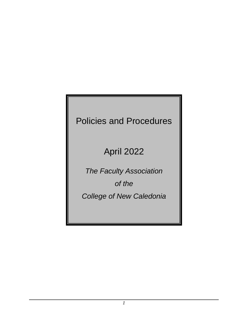# Policies and Procedures

# April 2022

*The Faculty Association of the College of New Caledonia*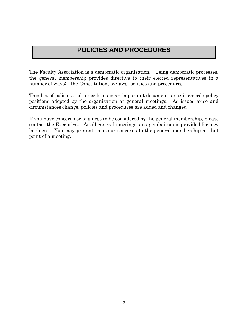## **POLICIES AND PROCEDURES**

The Faculty Association is a democratic organization. Using democratic processes, the general membership provides directive to their elected representatives in a number of ways: the Constitution, by-laws, policies and procedures.

This list of policies and procedures is an important document since it records policy positions adopted by the organization at general meetings. As issues arise and circumstances change, policies and procedures are added and changed.

If you have concerns or business to be considered by the general membership, please contact the Executive. At all general meetings, an agenda item is provided for new business. You may present issues or concerns to the general membership at that point of a meeting.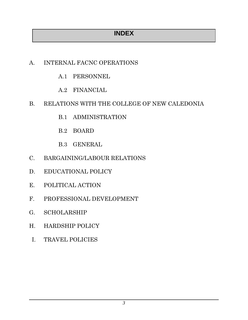## **INDEX**

## A. INTERNAL FACNC OPERATIONS

- A.1 PERSONNEL
- A.2 FINANCIAL

## B. RELATIONS WITH THE COLLEGE OF NEW CALEDONIA

- B.1 ADMINISTRATION
- B.2 BOARD
- B.3 GENERAL
- C. BARGAINING/LABOUR RELATIONS
- D. EDUCATIONAL POLICY
- E. POLITICAL ACTION
- F. PROFESSIONAL DEVELOPMENT
- G. SCHOLARSHIP
- H. HARDSHIP POLICY
- I. TRAVEL POLICIES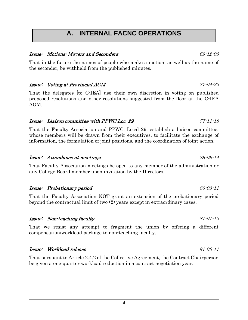## **A. INTERNAL FACNC OPERATIONS**

#### Issue: Motions: Movers and Seconders 69-12-05

That in the future the names of people who make a motion, as well as the name of the seconder, be withheld from the published minutes.

#### Issue: Voting at Provincial AGM 77-04-22

That the delegates [to C-IEA] use their own discretion in voting on published proposed resolutions and other resolutions suggested from the floor at the C-IEA AGM.

#### Issue: Liaison committee with PPWC Loc. 29 77-11-18

That the Faculty Association and PPWC, Local 29, establish a liaison committee, whose members will be drawn from their executives, to facilitate the exchange of information, the formulation of joint positions, and the coordination of joint action.

#### Issue: Attendance at meetings 78-09-14

That Faculty Association meetings be open to any member of the administration or any College Board member upon invitation by the Directors.

#### Issue: Probationary period 80-03-11

That the Faculty Association NOT grant an extension of the probationary period beyond the contractual limit of two (2) years except in extraordinary cases.

#### Issue: Non-teaching faculty 81-01-12

That we resist any attempt to fragment the union by offering a different compensation/workload package to non-teaching faculty.

#### Issue: Workload release 81-06-11

That pursuant to Article 2.4.2 of the Collective Agreement, the Contract Chairperson be given a one-quarter workload reduction in a contract negotiation year.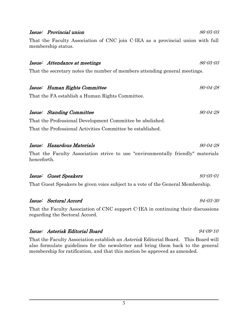#### Issue: Provincial union 86-05-03

That the Faculty Association of CNC join C-IEA as a provincial union with full membership status.

#### Issue: Attendance at meetings and the set of the set of the set of the set of the set of the set of the set of the set of the set of the set of the set of the set of the set of the set of the set of the set of the set of t

That the secretary notes the number of members attending general meetings.

### Issue: Human Rights Committee 90-04-28

That the FA establish a Human Rights Committee.

### Issue: Standing Committee 30-04-28

That the Professional Development Committee be abolished.

That the Professional Activities Committee be established.

### Issue: Hazardous Materials 90-04-28

That the Faculty Association strive to use "environmentally friendly" materials henceforth.

#### Issue: Guest Speakers 93-05-01

That Guest Speakers be given voice subject to a vote of the General Membership.

#### Issue: Sectoral Accord 94-03-30

That the Faculty Association of CNC support C-IEA in continuing their discussions regarding the Sectoral Accord.

#### Issue: Asterisk Editorial Board 94-09-10

That the Faculty Association establish an *Asterisk* Editorial Board. This Board will also formulate guidelines for the newsletter and bring them back to the general membership for ratification, and that this motion be approved as amended.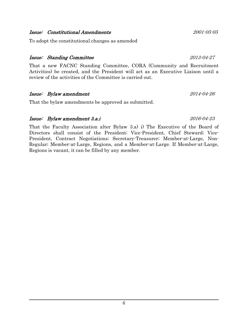#### Issue: Constitutional Amendments 2001-05-05

To adopt the constitutional changes as amended

#### Issue: Standing Committee 2013-04-27

That a new FACNC Standing Committee, CORA (Community and Recruitment Activities) be created, and the President will act as an Executive Liaison until a review of the activities of the Committee is carried out.

#### Issue: Bylaw amendment 2014-04-26

That the bylaw amendments be approved as submitted.

#### Issue: Bylaw amendment 3.a.i 2016-04-23

That the Faculty Association alter Bylaw 3.a) i) The Executive of the Board of Directors shall consist of the President; Vice-President, Chief Steward; Vice-President, Contract Negotiations; Secretary-Treasurer; Member-at-Large, Non-Regular; Member-at-Large, Regions, and a Member-at-Large. If Member-at-Large, Regions is vacant, it can be filled by any member.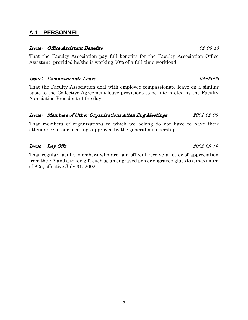### **A.1 PERSONNEL**

#### Issue: Office Assistant Benefits 92-09-13

That the Faculty Association pay full benefits for the Faculty Association Office Assistant, provided he/she is working 50% of a full-time workload.

#### Issue: Compassionate Leave 94-06-06

That the Faculty Association deal with employee compassionate leave on a similar basis to the Collective Agreement leave provisions to be interpreted by the Faculty Association President of the day.

### Issue: Members of Other Organizations Attending Meetings 2001-02-06

That members of organizations to which we belong do not have to have their attendance at our meetings approved by the general membership.

### Issue: Lay Offs 2002-08-19

That regular faculty members who are laid off will receive a letter of appreciation from the FA and a token gift such as an engraved pen or engraved glass to a maximum of \$25, effective July 31, 2002.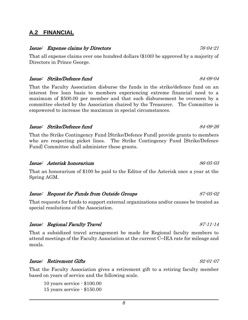### **A.2 FINANCIAL**

#### Issue: Expense claims by Directors and the contractors of the  $76\text{-}04\text{-}21$

That all expense claims over one hundred dollars (\$100) be approved by a majority of Directors in Prince George.

#### Issue: Strike/Defence fund 84-09-04

That the Faculty Association disburse the funds in the strike/defence fund on an interest free loan basis to members experiencing extreme financial need to a maximum of \$500.00 per member and that such disbursement be overseen by a committee elected by the Association chaired by the Treasurer. The Committee is empowered to increase the maximum in special circumstances.

#### Issue: Strike/Defence fund 84-09-26

That the Strike Contingency Fund [Strike/Defence Fund] provide grants to members who are respecting picket lines. The Strike Contingency Fund [Strike/Defence Fund] Committee shall administer these grants.

#### Issue: Asterisk honorarium 86-05-03

That an honorarium of \$100 be paid to the Editor of the Asterisk once a year at the Spring AGM.

#### Issue: Request for Funds from Outside Groups 87-05-02

That requests for funds to support external organizations and/or causes be treated as special resolutions of the Association.

#### Issue: Regional Faculty Travel 87-11-14

That a subsidized travel arrangement be made for Regional faculty members to attend meetings of the Faculty Association at the current C─IEA rate for mileage and meals.

#### Issue: Retirement Gifts 92-01-07

That the Faculty Association gives a retirement gift to a retiring faculty member based on years of service and the following scale.

10 years service - \$100.00 15 years service - \$150.00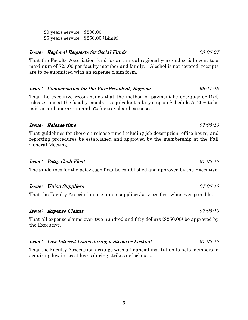#### 20 years service - \$200.00 25 years service - \$250.00 (Limit)

#### Issue: Regional Requests for Social Funds 93-05-27

That the Faculty Association fund for an annual regional year end social event to a maximum of \$25.00 per faculty member and family. Alcohol is not covered; receipts are to be submitted with an expense claim form.

### Issue: Compensation for the Vice-President, Regions 96-11-13

That the executive recommends that the method of payment be one-quarter (1/4) release time at the faculty member's equivalent salary step on Schedule A, 20% to be paid as an honorarium and 5% for travel and expenses.

#### Issue: Release time 97-05-10

That guidelines for those on release time including job description, office hours, and reporting procedures be established and approved by the membership at the Fall General Meeting.

### Issue: Petty Cash Float 97-05-10

The guidelines for the petty cash float be established and approved by the Executive.

#### Issue: Union Suppliers 97-05-10

That the Faculty Association use union suppliers/services first whenever possible.

#### Issue: Expense Claims 97-05-10

That all expense claims over two hundred and fifty dollars (\$250.00) be approved by the Executive.

#### Issue: Low Interest Loans during a Strike or Lockout 97-05-10

That the Faculty Association arrange with a financial institution to help members in acquiring low interest loans during strikes or lockouts.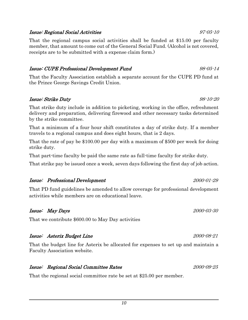#### Issue: Regional Social Activities 97-05-10

That the regional campus social activities shall be funded at \$15.00 per faculty member, that amount to come out of the General Social Fund. (Alcohol is not covered, receipts are to be submitted with a expense claim form.)

#### Issue: CUPE Professional Development Fund 98-05-14

That the Faculty Association establish a separate account for the CUPE PD fund at the Prince George Savings Credit Union.

#### Issue: Strike Duty 98-10-20

That strike duty include in addition to picketing, working in the office, refreshment delivery and preparation, delivering firewood and other necessary tasks determined by the strike committee.

That a minimum of a four hour shift constitutes a day of strike duty. If a member travels to a regional campus and does eight hours, that is 2 days.

That the rate of pay be \$100.00 per day with a maximum of \$500 per week for doing strike duty.

That part-time faculty be paid the same rate as full-time faculty for strike duty.

That strike pay be issued once a week, seven days following the first day of job action.

#### Issue: Professional Development 2000-01-29

That PD fund guidelines be amended to allow coverage for professional development activities while members are on educational leave.

### Issue: May Days 2000-03-30

That we contribute \$600.00 to May Day activities

### Issue: Asterix Budget Line 2000-08-21

That the budget line for Asterix be allocated for expenses to set up and maintain a Faculty Association website.

#### Issue: Regional Social Committee Rates 2000-09-25

That the regional social committee rate be set at \$25.00 per member.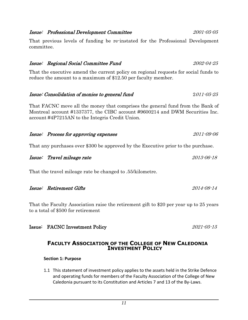#### Issue: Professional Development Committee 2001-05-05

That previous levels of funding be re-instated for the Professional Development committee.

#### Issue: Regional Social Committee Fund 2002-04-25

That the executive amend the current policy on regional requests for social funds to reduce the amount to a maximum of \$12.50 per faculty member.

#### Issue: Consolidation of monies to general fund 2011-05-25

That FACNC move all the money that comprises the general fund from the Bank of Montreal account #1337377, the CIBC account #9600214 and DWM Securities Inc. account #4P7215AN to the Integris Credit Union.

### Issue: Process for approving expenses 2011-09-06

That any purchases over \$300 be approved by the Executive prior to the purchase.

|  | Issue: Travel mileage rate | 2013-06-18 |
|--|----------------------------|------------|
|--|----------------------------|------------|

That the travel mileage rate be changed to .55/kilometre.

| Issue: Retirement Gifts<br>2014-08-14 |
|---------------------------------------|
|---------------------------------------|

That the Faculty Association raise the retirement gift to \$20 per year up to 25 years to a total of \$500 for retirement

### Issue: FACNC Investment Policy 2021-05-15

#### **FACULTY ASSOCIATION OF THE COLLEGE OF NEW CALEDONIA INVESTMENT POLICY**

**Section 1: Purpose**

1.1 This statement of investment policy applies to the assets held in the Strike Defence and operating funds for members of the Faculty Association of the College of New Caledonia pursuant to its Constitution and Articles 7 and 13 of the By-Laws.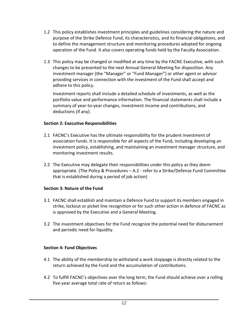- 1.2 This policy establishes investment principles and guidelines considering the nature and purpose of the Strike Defence Fund, its characteristics, and its financial obligations, and to define the management structure and monitoring procedures adopted for ongoing operation of the Fund. It also covers operating funds held by the Faculty Association.
- 1.3 This policy may be changed or modified at any time by the FACNC Executive, with such changes to be presented to the next Annual General Meeting for disposition. Any investment manager (the "Manager" or "Fund Manager") or other agent or advisor providing services in connection with the investment of the Fund shall accept and adhere to this policy.

Investment reports shall include a detailed schedule of investments, as well as the portfolio value and performance information. The financial statements shall include a summary of year-to-year changes, investment income and contributions, and deductions (if any).

#### **Section 2: Executive Responsibilities**

- 2.1 FACNC's Executive has the ultimate responsibility for the prudent investment of association funds. It is responsible for all aspects of the Fund, including developing an investment policy, establishing, and maintaining an investment manager structure, and monitoring investment results.
- 2.2 The Executive may delegate their responsibilities under this policy as they deem appropriate. (The Policy & Procedures – A.2 - refer to a Strike/Defense Fund Committee that is established during a period of job action)

#### **Section 3: Nature of the Fund**

- 3.1 FACNC shall establish and maintain a Defence Fund to support its members engaged in strike, lockout or picket line recognition or for such other action in defence of FACNC as is approved by the Executive and a General Meeting.
- 3.2 The investment objectives for the Fund recognize the potential need for disbursement and periodic need for liquidity.

#### **Section 4: Fund Objectives**

- 4.1 The ability of the membership to withstand a work stoppage is directly related to the return achieved by the Fund and the accumulation of contributions.
- 4.2 To fulfill FACNC's objectives over the long term, the Fund should achieve over a rolling five-year average total rate of return as follows: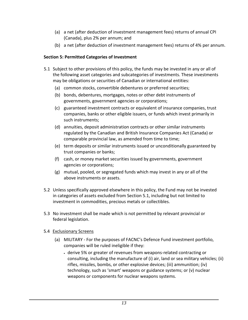- (a) a net (after deduction of investment management fees) returns of annual CPI (Canada), plus 2% per annum; and
- (b) a net (after deduction of investment management fees) returns of 4% per annum.

#### **Section 5: Permitted Categories of Investment**

- 5.1 Subject to other provisions of this policy, the funds may be invested in any or all of the following asset categories and subcategories of investments. These investments may be obligations or securities of Canadian or international entities:
	- (a) common stocks, convertible debentures or preferred securities;
	- (b) bonds, debentures, mortgages, notes or other debt instruments of governments, government agencies or corporations;
	- (c) guaranteed investment contracts or equivalent of insurance companies, trust companies, banks or other eligible issuers, or funds which invest primarily in such instruments;
	- (d) annuities, deposit administration contracts or other similar instruments regulated by the Canadian and British Insurance Companies Act (Canada) or comparable provincial law, as amended from time to time;
	- (e) term deposits or similar instruments issued or unconditionally guaranteed by trust companies or banks;
	- (f) cash, or money market securities issued by governments, government agencies or corporations;
	- (g) mutual, pooled, or segregated funds which may invest in any or all of the above instruments or assets.
- 5.2 Unless specifically approved elsewhere in this policy, the Fund may not be invested in categories of assets excluded from Section 5.1, including but not limited to investment in commodities, precious metals or collectibles.
- 5.3 No investment shall be made which is not permitted by relevant provincial or federal legislation.

#### 5.4 Exclusionary Screens

- (a) MILITARY For the purposes of FACNC's Defence Fund investment portfolio, companies will be ruled ineligible if they:
	- derive 5% or greater of revenues from weapons-related contracting or consulting, including the manufacture of (i) air, land or sea military vehicles; (ii) rifles, missiles, bombs, or other explosive devices; (iii) ammunition; (iv) technology, such as 'smart' weapons or guidance systems; or (v) nuclear weapons or components for nuclear weapons systems.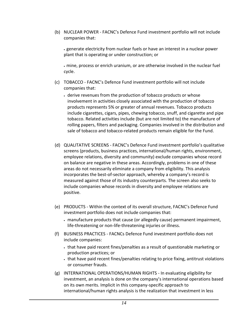(b) NUCLEAR POWER - FACNC's Defence Fund investment portfolio will not include companies that:

• generate electricity from nuclear fuels or have an interest in a nuclear power plant that is operating or under construction; or

• mine, process or enrich uranium, or are otherwise involved in the nuclear fuel cycle.

- (c) TOBACCO FACNC's Defence Fund investment portfolio will not include companies that:
	- derive revenues from the production of tobacco products or whose involvement in activities closely associated with the production of tobacco products represents 5% or greater of annual revenues. Tobacco products include cigarettes, cigars, pipes, chewing tobacco, snuff, and cigarette and pipe tobacco. Related activities include (but are not limited to) the manufacture of rolling papers, filters and packaging. Companies involved in the distribution and sale of tobacco and tobacco-related products remain eligible for the Fund.
- (d) QUALITATIVE SCREENS FACNC's Defence Fund investment portfolio's qualitative screens (products, business practices, international/human rights, environment, employee relations, diversity and community) exclude companies whose record on balance are negative in these areas. Accordingly, problems in one of these areas do not necessarily eliminate a company from eligibility. This analysis incorporates the best-of-sector approach, whereby a company's record is measured against those of its industry counterparts. The screen also seeks to include companies whose records in diversity and employee relations are positive.
- (e) PRODUCTS Within the context of its overall structure, FACNC's Defence Fund investment portfolio does not include companies that:
	- manufacture products that cause (or allegedly cause) permanent impairment, life-threatening or non-life-threatening injuries or illness.
- (f) BUSINESS PRACTICES FACNCs Defence Fund investment portfolio does not include companies:
	- that have paid recent fines/penalties as a result of questionable marketing or production practices; or
	- that have paid recent fines/penalties relating to price fixing, antitrust violations or consumer frauds.
- (g) INTERNATIONAL OPERATIONS/HUMAN RIGHTS In evaluating eligibility for investment, an analysis is done on the company's international operations based on its own merits. Implicit in this company-specific approach to international/human rights analysis is the realization that investment in less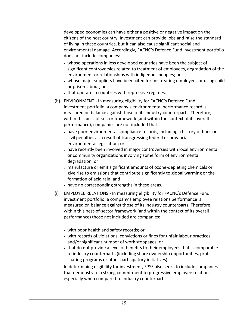developed economies can have either a positive or negative impact on the citizens of the host country. Investment can provide jobs and raise the standard of living in these countries, but it can also cause significant social and environmental damage. Accordingly, FACNC's Defence Fund investment portfolio does not include companies:

- whose operations in less developed countries have been the subject of significant controversies related to treatment of employees, degradation of the environment or relationships with indigenous peoples; or
- whose major suppliers have been cited for mistreating employees or using child or prison labour; or
- that operate in countries with repressive regimes.
- (h) ENVIRONMENT In measuring eligibility for FACNC's Defence Fund investment portfolio, a company's environmental performance record is measured on balance against those of its industry counterparts. Therefore, within this best-of-sector framework (and within the context of its overall performance), companies are not included that:
	- have poor environmental compliance records, including a history of fines or civil penalties as a result of transgressing federal or provincial environmental legislation; or
	- have recently been involved in major controversies with local environmental or community organizations involving some form of environmental degradation; or
	- manufacture or emit significant amounts of ozone-depleting chemicals or give rise to emissions that contribute significantly to global warming or the formation of acid rain; and
	- have no corresponding strengths in these areas.
- (i) EMPLOYEE RELATIONS In measuring eligibility for FACNC's Defence Fund investment portfolio, a company's employee relations performance is measured on balance against those of its industry counterparts. Therefore, within this best-of-sector framework (and within the context of its overall performance) those not included are companies:
	- with poor health and safety records; or
	- with records of violations, convictions or fines for unfair labour practices, and/or significant number of work stoppages; or
	- that do not provide a level of benefits to their employees that is comparable to industry counterparts (including share ownership opportunities, profitsharing programs or other participatory initiatives).

In determining eligibility for investment, FPSE also seeks to include companies that demonstrate a strong commitment to progressive employee relations, especially when compared to industry counterparts.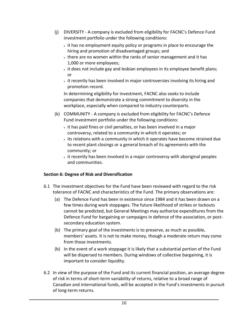- (j) DIVERSITY A company is excluded from eligibility for FACNC's Defence Fund investment portfolio under the following conditions:
	- it has no employment equity policy or programs in place to encourage the hiring and promotion of disadvantaged groups; and
	- there are no women within the ranks of senior management and it has 1,000 or more employees;
	- it does not include gay and lesbian employees in its employee benefit plans; or
	- it recently has been involved in major controversies involving its hiring and promotion record.

In determining eligibility for investment, FACNC also seeks to include companies that demonstrate a strong commitment to diversity in the workplace, especially when compared to industry counterparts.

- (k) COMMUNITY A company is excluded from eligibility for FACNC's Defence Fund investment portfolio under the following conditions:
	- it has paid fines or civil penalties, or has been involved in a major controversy, related to a community in which it operates; or
	- its relations with a community in which it operates have become strained due to recent plant closings or a general breach of its agreements with the community; or
	- it recently has been involved in a major controversy with aboriginal peoples and communities.

#### **Section 6: Degree of Risk and Diversification**

- 6.1 The investment objectives for the Fund have been reviewed with regard to the risk tolerance of FACNC and characteristics of the Fund. The primary observations are:
	- (a) The Defence Fund has been in existence since 1984 and it has been drawn on a few times during work stoppages. The future likelihood of strikes or lockouts cannot be predicted, but General Meetings may authorize expenditures from the Defence Fund for bargaining or campaigns in defence of the association, or postsecondary education system.
	- (b) The primary goal of the investments is to preserve, as much as possible, members' assets. It is not to make money, though a moderate return may come from those investments.
	- (b) In the event of a work stoppage it is likely that a substantial portion of the Fund will be dispersed to members. During windows of collective bargaining, it is important to consider liquidity.
- 6.2 In view of the purpose of the Fund and its current financial position, an average degree of risk in terms of short-term variability of returns, relative to a broad range of Canadian and international funds, will be accepted in the Fund's investments in pursuit of long-term returns.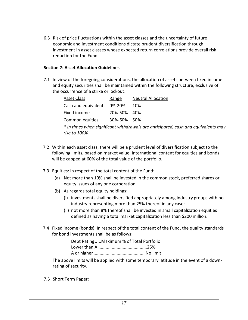6.3 Risk of price fluctuations within the asset classes and the uncertainty of future economic and investment conditions dictate prudent diversification through investment in asset classes whose expected return correlations provide overall risk reduction for the Fund.

#### **Section 7: Asset Allocation Guidelines**

7.1 In view of the foregoing considerations, the allocation of assets between fixed income and equity securities shall be maintained within the following structure, exclusive of the occurrence of a strike or lockout:

| Asset Class                                                                       | Range       | <b>Neutral Allocation</b> |  |  |
|-----------------------------------------------------------------------------------|-------------|---------------------------|--|--|
| Cash and equivalents 0%-20%                                                       |             | 10%                       |  |  |
| Fixed income                                                                      | 20%-50% 40% |                           |  |  |
| Common equities                                                                   | 30%-60% 50% |                           |  |  |
| * In times when significant withdrawals are anticipated, cash and equivalents may |             |                           |  |  |
| rise to 100%.                                                                     |             |                           |  |  |

- 7.2 Within each asset class, there will be a prudent level of diversification subject to the following limits, based on market value. International content for equities and bonds will be capped at 60% of the total value of the portfolio.
- 7.3 Equities: In respect of the total content of the Fund:
	- (a) Not more than 10% shall be invested in the common stock, preferred shares or equity issues of any one corporation.
	- (b) As regards total equity holdings:
		- (i) investments shall be diversified appropriately among industry groups with no industry representing more than 25% thereof in any case;
		- (ii) not more than 8% thereof shall be invested in small capitalization equities defined as having a total market capitalization less than \$200 million.
- 7.4 Fixed income (bonds): In respect of the total content of the Fund, the quality standards for bond investments shall be as follows:

| Debt RatingMaximum % of Total Portfolio |  |
|-----------------------------------------|--|
|                                         |  |
|                                         |  |

The above limits will be applied with some temporary latitude in the event of a downrating of security.

7.5 Short Term Paper: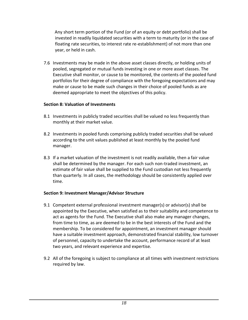Any short term portion of the Fund (or of an equity or debt portfolio) shall be invested in readily liquidated securities with a term to maturity (or in the case of floating rate securities, to interest rate re-establishment) of not more than one year, or held in cash.

7.6 Investments may be made in the above asset classes directly, or holding units of pooled, segregated or mutual funds investing in one or more asset classes. The Executive shall monitor, or cause to be monitored, the contents of the pooled fund portfolios for their degree of compliance with the foregoing expectations and may make or cause to be made such changes in their choice of pooled funds as are deemed appropriate to meet the objectives of this policy.

#### **Section 8: Valuation of Investments**

- 8.1 Investments in publicly traded securities shall be valued no less frequently than monthly at their market value.
- 8.2 Investments in pooled funds comprising publicly traded securities shall be valued according to the unit values published at least monthly by the pooled fund manager.
- 8.3 If a market valuation of the investment is not readily available, then a fair value shall be determined by the manager. For each such non-traded investment, an estimate of fair value shall be supplied to the Fund custodian not less frequently than quarterly. In all cases, the methodology should be consistently applied over time.

#### **Section 9: Investment Manager/Advisor Structure**

- 9.1 Competent external professional investment manager(s) or advisor(s) shall be appointed by the Executive, when satisfied as to their suitability and competence to act as agents for the Fund. The Executive shall also make any manager changes, from time to time, as are deemed to be in the best interests of the Fund and the membership. To be considered for appointment, an investment manager should have a suitable investment approach, demonstrated financial stability, low turnover of personnel, capacity to undertake the account, performance record of at least two years, and relevant experience and expertise.
- 9.2 All of the foregoing is subject to compliance at all times with investment restrictions required by law.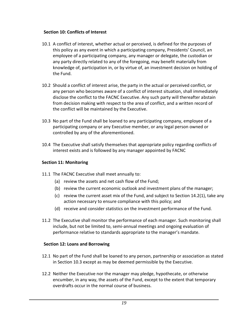#### **Section 10: Conflicts of Interest**

- 10.1 A conflict of interest, whether actual or perceived, is defined for the purposes of this policy as any event in which a participating company, Presidents' Council, an employee of a participating company, any manager or delegate, the custodian or any party directly related to any of the foregoing, may benefit materially from knowledge of, participation in, or by virtue of, an investment decision on holding of the Fund.
- 10.2 Should a conflict of interest arise, the party in the actual or perceived conflict, or any person who becomes aware of a conflict of interest situation, shall immediately disclose the conflict to the FACNC Executive. Any such party will thereafter abstain from decision making with respect to the area of conflict, and a written record of the conflict will be maintained by the Executive.
- 10.3 No part of the Fund shall be loaned to any participating company, employee of a participating company or any Executive member, or any legal person owned or controlled by any of the aforementioned.
- 10.4 The Executive shall satisfy themselves that appropriate policy regarding conflicts of interest exists and is followed by any manager appointed by FACNC

#### **Section 11: Monitoring**

- 11.1 The FACNC Executive shall meet annually to:
	- (a) review the assets and net cash flow of the Fund;
	- (b) review the current economic outlook and investment plans of the manager;
	- (c) review the current asset mix of the Fund, and subject to Section 14.2(1), take any action necessary to ensure compliance with this policy; and
	- (d) receive and consider statistics on the investment performance of the Fund.
- 11.2 The Executive shall monitor the performance of each manager. Such monitoring shall include, but not be limited to, semi-annual meetings and ongoing evaluation of performance relative to standards appropriate to the manager's mandate.

#### **Section 12: Loans and Borrowing**

- 12.1 No part of the Fund shall be loaned to any person, partnership or association as stated in Section 10.3 except as may be deemed permissible by the Executive.
- 12.2 Neither the Executive nor the manager may pledge, hypothecate, or otherwise encumber, in any way, the assets of the Fund, except to the extent that temporary overdrafts occur in the normal course of business.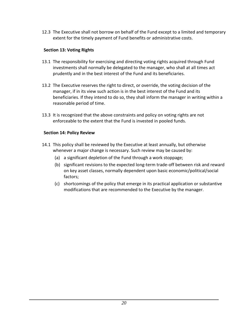12.3 The Executive shall not borrow on behalf of the Fund except to a limited and temporary extent for the timely payment of Fund benefits or administrative costs.

#### **Section 13: Voting Rights**

- 13.1 The responsibility for exercising and directing voting rights acquired through Fund investments shall normally be delegated to the manager, who shall at all times act prudently and in the best interest of the Fund and its beneficiaries.
- 13.2 The Executive reserves the right to direct, or override, the voting decision of the manager, if in its view such action is in the best interest of the Fund and its beneficiaries. If they intend to do so, they shall inform the manager in writing within a reasonable period of time.
- 13.3 It is recognized that the above constraints and policy on voting rights are not enforceable to the extent that the Fund is invested in pooled funds.

#### **Section 14: Policy Review**

- 14.1 This policy shall be reviewed by the Executive at least annually, but otherwise whenever a major change is necessary. Such review may be caused by:
	- (a) a significant depletion of the Fund through a work stoppage;
	- (b) significant revisions to the expected long-term trade-off between risk and reward on key asset classes, normally dependent upon basic economic/political/social factors;
	- (c) shortcomings of the policy that emerge in its practical application or substantive modifications that are recommended to the Executive by the manager.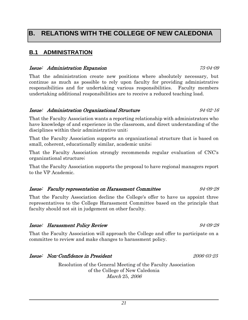### **B.1 ADMINISTRATION**

#### Issue: Administration Expansion 75-04-09

That the administration create new positions where absolutely necessary, but continue as much as possible to rely upon faculty for providing administrative responsibilities and for undertaking various responsibilities. Faculty members undertaking additional responsibilities are to receive a reduced teaching load.

#### Issue: Administration Organizational Structure 94-02-16

That the Faculty Association wants a reporting relationship with administrators who have knowledge of and experience in the classroom, and direct understanding of the disciplines within their administrative unit;

That the Faculty Association supports an organizational structure that is based on small, coherent, educationally similar, academic units;

That the Faculty Association strongly recommends regular evaluation of CNC's organizational structure;

That the Faculty Association supports the proposal to have regional managers report to the VP Academic.

### Issue: Faculty representation on Harassment Committee 94-09-28

That the Faculty Association decline the College's offer to have us appoint three representatives to the College Harassment Committee based on the principle that faculty should not sit in judgement on other faculty.

### Issue: Harassment Policy Review 94-09-28

That the Faculty Association will approach the College and offer to participate on a committee to review and make changes to harassment policy.

### Issue: Non-Confidence in President 2006-03-25

Resolution of the General Meeting of the Faculty Association of the College of New Caledonia March 25, 2006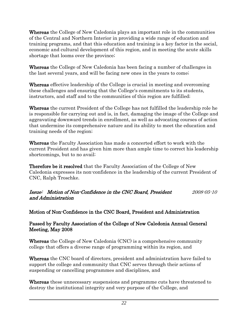Whereas the College of New Caledonia plays an important role in the communities of the Central and Northern Interior in providing a wide range of education and training programs, and that this education and training is a key factor in the social, economic and cultural development of this region, and in meeting the acute skills shortage that looms over the province;

Whereas the College of New Caledonia has been facing a number of challenges in the last several years, and will be facing new ones in the years to come;

Whereas effective leadership of the College is crucial in meeting and overcoming these challenges and ensuring that the College's commitments to its students, instructors, and staff and to the communities of this region are fulfilled;

Whereas the current President of the College has not fulfilled the leadership role he is responsible for carrying out and is, in fact, damaging the image of the College and aggravating downward trends in enrollment, as well as advocating courses of action that undermine its comprehensive nature and its ability to meet the education and training needs of the region;

Whereas the Faculty Association has made a concerted effort to work with the current President and has given him more than ample time to correct his leadership shortcomings, but to no avail;

Therefore be it resolved that the Faculty Association of the College of New Caledonia expresses its non-confidence in the leadership of the current President of CNC, Ralph Troschke.

Issue: Motion of Non-Confidence in the CNC Board, President 2008-05-10 and Administration

Motion of Non-Confidence in the CNC Board, President and Administration

#### Passed by Faculty Association of the College of New Caledonia Annual General Meeting, May 2008

Whereas the College of New Caledonia (CNC) is a comprehensive community college that offers a diverse range of programming within its region, and

Whereas the CNC board of directors, president and administration have failed to support the college and community that CNC serves through their actions of suspending or cancelling programmes and disciplines, and

Whereas these unnecessary suspensions and programme cuts have threatened to destroy the institutional integrity and very purpose of the College, and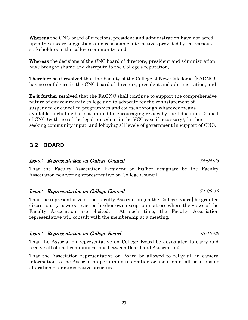Whereas the CNC board of directors, president and administration have not acted upon the sincere suggestions and reasonable alternatives provided by the various stakeholders in the college community, and

Whereas the decisions of the CNC board of directors, president and administration have brought shame and disrepute to the College's reputation,

Therefore be it resolved that the Faculty of the College of New Caledonia (FACNC) has no confidence in the CNC board of directors, president and administration, and

Be it further resolved that the FACNC shall continue to support the comprehensive nature of our community college and to advocate for the re-instatement of suspended or cancelled programmes and courses through whatever means available, including but not limited to, encouraging review by the Education Council of CNC (with use of the legal precedent in the VCC case if necessary), further seeking community input, and lobbying all levels of government in support of CNC.

### **B.2 BOARD**

#### Issue: Representation on College Council 74-04-26

That the Faculty Association President or his/her designate be the Faculty Association non-voting representative on College Council.

#### Issue: Representation on College Council 74-06-10

That the representative of the Faculty Association [on the College Board] be granted discretionary powers to act on his/her own except on matters where the views of the Faculty Association are elicited. At such time, the Faculty Association representative will consult with the membership at a meeting.

### Issue: Representation on College Board 75-10-03

That the Association representative on College Board be designated to carry and receive all official communications between Board and Association;

That the Association representative on Board be allowed to relay all in camera information to the Association pertaining to creation or abolition of all positions or alteration of administrative structure.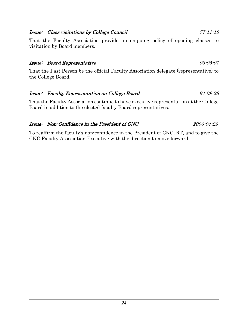### Issue: Class visitations by College Council 77-11-18

That the Faculty Association provide an on-going policy of opening classes to visitation by Board members.

#### Issue: Board Representative 93-05-01

That the Past Person be the official Faculty Association delegate (representative) to the College Board.

### Issue: Faculty Representation on College Board 94-09-28

That the Faculty Association continue to have executive representation at the College Board in addition to the elected faculty Board representatives.

#### Issue: Non-Confidence in the President of CNC 2006-04-29

To reaffirm the faculty's non-confidence in the President of CNC, RT, and to give the CNC Faculty Association Executive with the direction to move forward.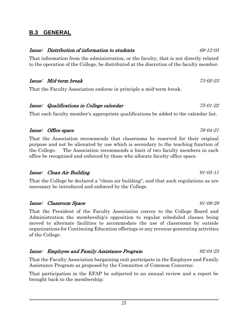### **B.3 GENERAL**

#### Issue: Distribution of information to students 69-12-05

That information from the administration, or the faculty, that is not directly related to the operation of the College, be distributed at the discretion of the faculty member.

#### Issue: Mid-term break 73-02-23

That the Faculty Association endorse in principle a mid-term break.

#### Issue: Qualifications in College calendar 75-01-22

That each faculty member's appropriate qualifications be added to the calendar list.

#### Issue: Office space  $76-04-21$

That the Association recommends that classrooms be reserved for their original purpose and not be alienated by use which is secondary to the teaching function of the College. The Association recommends a limit of two faculty members in each office be recognized and enforced by those who allocate faculty office space.

#### Issue: Clean Air Building 91-05-11

That the College be declared a "clean air building", and that such regulations as are necessary be introduced and enforced by the College.

#### Issue: Classroom Space 91-09-28

That the President of the Faculty Association convey to the College Board and Administration the membership's opposition to regular scheduled classes being moved to alternate facilities to accommodate the use of classrooms by outside organizations for Continuing Education offerings or any revenue generating activities of the College.

#### Issue: Employee and Family Assistance Program 92-04-25

That the Faculty Association bargaining unit participate in the Employee and Family Assistance Program as proposed by the Committee of Common Concerns;

That participation in the EFAP be subjected to an annual review and a report be brought back to the membership;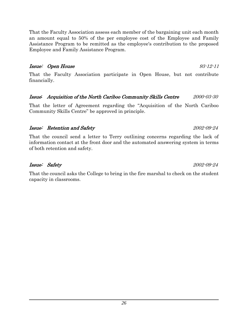That the Faculty Association assess each member of the bargaining unit each month an amount equal to 50% of the per employee cost of the Employee and Family Assistance Program to be remitted as the employee's contribution to the proposed Employee and Family Assistance Program.

#### Issue: Open House 93-12-11

That the Faculty Association participate in Open House, but not contribute financially.

#### Issue: Acquisition of the North Cariboo Community Skills Centre 2000-03-30

That the letter of Agreement regarding the "Acquisition of the North Cariboo Community Skills Centre" be approved in principle.

#### Issue: Retention and Safety 2002-09-24

That the council send a letter to Terry outlining concerns regarding the lack of information contact at the front door and the automated answering system in terms of both retention and safety.

### Issue: Safety 2002-09-24

That the council asks the College to bring in the fire marshal to check on the student capacity in classrooms.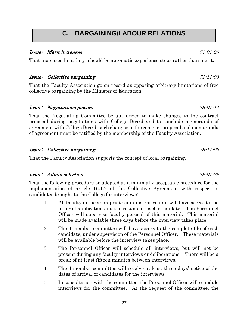## **C. BARGAINING/LABOUR RELATIONS**

#### Issue: Merit increases 71-01-25

That increases [in salary] should be automatic experience steps rather than merit.

### Issue: Collective bargaining 71-11-03

That the Faculty Association go on record as opposing arbitrary limitations of free collective bargaining by the Minister of Education.

#### Issue: Negotiations powers 78-01-14

That the Negotiating Committee be authorized to make changes to the contract proposal during negotiations with College Board and to conclude memoranda of agreement with College Board; such changes to the contract proposal and memoranda of agreement must be ratified by the membership of the Faculty Association.

#### Issue: Collective bargaining 78-11-09

That the Faculty Association supports the concept of local bargaining.

#### Issue: Admin selection 79-01-29

That the following procedure be adopted as a minimally acceptable procedure for the implementation of article 16.1.2 of the Collective Agreement with respect to candidates brought to the College for interviews:

- 1. All faculty in the appropriate administrative unit will have access to the letter of application and the resume of each candidate. The Personnel Officer will supervise faculty perusal of this material. This material will be made available three days before the interview takes place.
- 2. The 4-member committee will have access to the complete file of each candidate, under supervision of the Personnel Officer. These materials will be available before the interview takes place.
- 3. The Personnel Officer will schedule all interviews, but will not be present during any faculty interviews or deliberations. There will be a break of at least fifteen minutes between interviews.
- 4. The 4-member committee will receive at least three days' notice of the dates of arrival of candidates for the interviews.
- 5. In consultation with the committee, the Personnel Officer will schedule interviews for the committee. At the request of the committee, the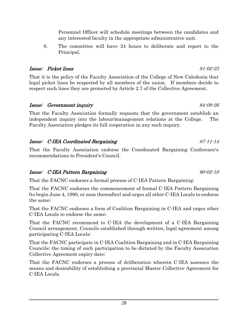Personnel Officer will schedule meetings between the candidates and any interested faculty in the appropriate administrative unit.

6. The committee will have 24 hours to deliberate and report to the Principal.

#### Issue: Picket lines 81-02-23

That it is the policy of the Faculty Association of the College of New Caledonia that legal picket lines be respected by all members of the union. If members decide to respect such lines they are protected by Article 2.7 of the Collective Agreement.

#### Issue: Government inquiry 84-09-26

That the Faculty Association formally requests that the government establish an independent inquiry into the labour/management relations at the College. The Faculty Association pledges its full cooperation in any such inquiry.

### Issue: C-IEA Coordinated Bargaining 87-11-14

That the Faculty Association endorse the Coordinated Bargaining Conference's recommendations to President's Council.

#### Issue: C-IEA Pattern Bargaining 90-02-10

That the FACNC endorses a formal process of C-IEA Pattern Bargaining;

That the FACNC endorses the commencement of formal C-IEA Pattern Bargaining (to begin June 4, 1990, or soon thereafter) and urges all other C-IEA Locals to endorse the same;

That the FACNC endorses a form of Coalition Bargaining in C-IEA and urges other C-IEA Locals to endorse the same;

That the FACNC recommend to C-IEA the development of a C-IEA Bargaining Council arrangement, Councils established through written, legal agreement among participating C-IEA Locals;

That the FACNC participate in C-IEA Coalition Bargaining and in C-IEA Bargaining Councils; the timing of such participation to be dictated by the Faculty Association Collective Agreement expiry date;

That the FACNC endorses a process of deliberation wherein C-IEA assesses the means and desirability of establishing a provincial Master Collective Agreement for C-IEA Locals.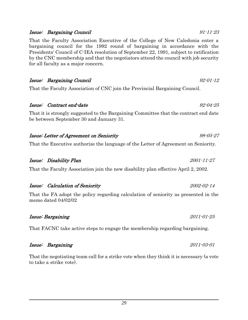#### Issue: Bargaining Council 91-11-23

That the Faculty Association Executive of the College of New Caledonia enter a bargaining council for the 1992 round of bargaining in accordance with the Presidents' Council of C-IEA resolution of September 22, 1991, subject to ratification by the CNC membership and that the negotiators attend the council with job security for all faculty as a major concern.

Issue: Bargaining Council 92-01-12

That the Faculty Association of CNC join the Provincial Bargaining Council.

### Issue: Contract end-date 92-04-25

That it is strongly suggested to the Bargaining Committee that the contract end date be between September 30 and January 31.

#### Issue: Letter of Agreement on Seniority 98-05-27

That the Executive authorize the language of the Letter of Agreement on Seniority.

#### Issue: Disability Plan 2001-11-27

That the Faculty Association join the new disability plan effective April 2, 2002.

## Issue: Calculation of Seniority 2002-02-14

That the FA adopt the policy regarding calculation of seniority as presented in the memo dated 04/02/02

#### Issue: Bargaining 2011-01-25

That FACNC take active steps to engage the membership regarding bargaining.

#### Issue: Bargaining 2011-03-01

That the negotiating team call for a strike vote when they think it is necessary (a vote to take a strike vote).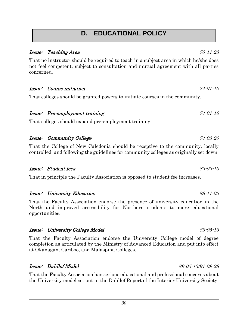## **D. EDUCATIONAL POLICY**

#### Issue: Teaching Area 70-11-23

That no instructor should be required to teach in a subject area in which he/she does not feel competent, subject to consultation and mutual agreement with all parties concerned.

Issue: Course initiation 74-01-10

That colleges should be granted powers to initiate courses in the community.

#### Issue: Pre-employment training 74-01-16

That colleges should expand pre-employment training.

### Issue: Community College 74-03-20

That the College of New Caledonia should be receptive to the community, locally controlled, and following the guidelines for community colleges as originally set down.

### Issue: Student fees 82-02-10

That in principle the Faculty Association is opposed to student fee increases.

### Issue: University Education 88-11-05

That the Faculty Association endorse the presence of university education in the North and improved accessibility for Northern students to more educational opportunities.

#### Issue: University College Model 89-05-13

That the Faculty Association endorse the University College model of degree completion as articulated by the Ministry of Advanced Education and put into effect at Okanagan, Cariboo, and Malaspina Colleges.

### Issue: Dahllof Model 89-05-13/91-09-28

That the Faculty Association has serious educational and professional concerns about the University model set out in the Dahllof Report of the Interior University Society.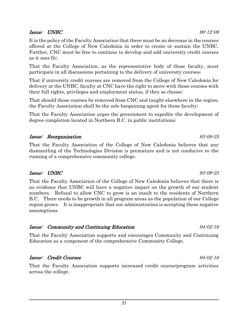#### Issue: UNBC 90-12-08

It is the policy of the Faculty Association that there must be no decrease in the courses offered at the College of New Caledonia in order to create or sustain the UNBC. Further, CNC must be free to continue to develop and add university credit courses as it sees fit;

That the Faculty Association, as the representative body of those faculty, must participate in all discussions pertaining to the delivery of university courses;

That if university credit courses are removed from the College of New Caledonia for delivery at the UNBC, faculty at CNC have the right to move with those courses with their full rights, privileges and employment status, if they so choose;

That should those courses be removed from CNC and taught elsewhere in the region, the Faculty Association shall be the sole bargaining agent for those faculty;

That the Faculty Association urges the government to expedite the development of degree completion located in Northern B.C. in public institutions;

#### Issue: Reorganization 93-09-25

That the Faculty Association of the College of New Caledonia believes that any dismantling of the Technologies Division is premature and is not conducive to the running of a comprehensive community college.

### Issue: UNBC 93-09-25

That the Faculty Association of the College of New Caledonia believes that there is no evidence that UNBC will have a negative impact on the growth of our student numbers. Refusal to allow CNC to grow is an insult to the residents of Northern B.C. There needs to be growth in all program areas as the population of our College region grows. It is inappropriate that our administration is accepting these negative assumptions.

### Issue: Community and Continuing Education 94-02-16

That the Faculty Association supports and encourages Community and Continuing Education as a component of the comprehensive Community College.

### Issue: Credit Courses 94-02-16

That the Faculty Association supports increased credit course/program activities across the college.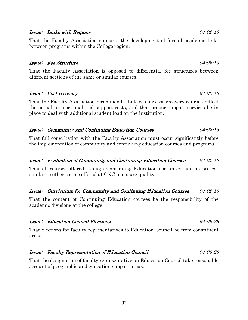#### Issue: Links with Regions 94-02-16

That the Faculty Association supports the development of formal academic links between programs within the College region.

#### Issue: Fee Structure 94-02-16

That the Faculty Association is opposed to differential fee structures between different sections of the same or similar courses.

#### Issue: Cost recovery 94-02-16

That the Faculty Association recommends that fees for cost recovery courses reflect the actual instructional and support costs, and that proper support services be in place to deal with additional student load on the institution.

#### Issue: Community and Continuing Education Courses 94-02-16

That full consultation with the Faculty Association must occur significantly before the implementation of community and continuing education courses and programs.

#### Issue: Evaluation of Community and Continuing Education Courses 94-02-16

That all courses offered through Continuing Education use an evaluation process similar to other course offered at CNC to ensure quality.

#### Issue: Curriculum for Community and Continuing Education Courses 94-02-16

That the content of Continuing Education courses be the responsibility of the academic divisions at the college.

#### Issue: Education Council Elections 94-09-28

That elections for faculty representatives to Education Council be from constituent areas.

#### Issue: Faculty Representation of Education Council 94-09-28

That the designation of faculty representative on Education Council take reasonable account of geographic and education support areas.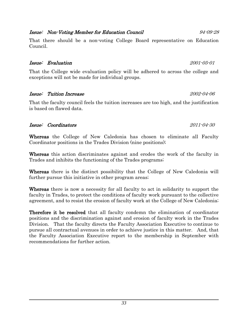### Issue: Non-Voting Member for Education Council 94-09-28

That there should be a non-voting College Board representative on Education Council.

#### Issue: Evaluation 2001-05-01

That the College wide evaluation policy will be adhered to across the college and exceptions will not be made for individual groups.

#### Issue: Tuition Increase 2002-04-06

That the faculty council feels the tuition increases are too high, and the justification is based on flawed data.

#### Issue: Coordinators 2011-04-30

Whereas the College of New Caledonia has chosen to eliminate all Faculty Coordinator positions in the Trades Division (nine positions);

Whereas this action discriminates against and erodes the work of the faculty in Trades and inhibits the functioning of the Trades programs;

Whereas there is the distinct possibility that the College of New Caledonia will further pursue this initiative in other program areas;

Whereas there is now a necessity for all faculty to act in solidarity to support the faculty in Trades, to protect the conditions of faculty work pursuant to the collective agreement, and to resist the erosion of faculty work at the College of New Caledonia;

Therefore it be resolved that all faculty condemn the elimination of coordinator positions and the discrimination against and erosion of faculty work in the Trades Division. That the faculty directs the Faculty Association Executive to continue to pursue all contractual avenues in order to achieve justice in this matter. And, that the Faculty Association Executive report to the membership in September with recommendations for further action.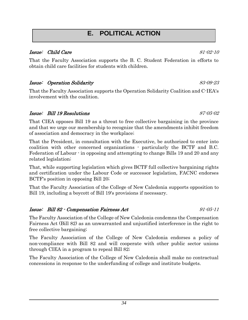## **E. POLITICAL ACTION**

### Issue: Child Care 81-02-10

That the Faculty Association supports the B. C. Student Federation in efforts to obtain child care facilities for students with children.

### Issue: Operation Solidarity 83-09-23

That the Faculty Association supports the Operation Solidarity Coalition and C-IEA's involvement with the coalition.

#### Issue: Bill 19 Resolutions 87-05-02

That CIEA opposes Bill 19 as a threat to free collective bargaining in the province and that we urge our membership to recognize that the amendments inhibit freedom of association and democracy in the workplace;

That the President, in consultation with the Executive, be authorized to enter into coalition with other concerned organizations - particularly the BCTF and B.C. Federation of Labour - in opposing and attempting to change Bills 19 and 20 and any related legislation;

That, while supporting legislation which gives BCTF full collective bargaining rights and certification under the Labour Code or successor legislation, FACNC endorses BCTF's position in opposing Bill 20;

That the Faculty Association of the College of New Caledonia supports opposition to Bill 19, including a boycott of Bill 19's provisions if necessary.

#### Issue: Bill 82 - Compensation Fairness Act 91-05-11

The Faculty Association of the College of New Caledonia condemns the Compensation Fairness Act (Bill 82) as an unwarranted and unjustified interference in the right to free collective bargaining;

The Faculty Association of the College of New Caledonia endorses a policy of non-compliance with Bill 82 and will cooperate with other public sector unions through CIEA in a program to repeal Bill 82;

The Faculty Association of the College of New Caledonia shall make no contractual concessions in response to the underfunding of college and institute budgets.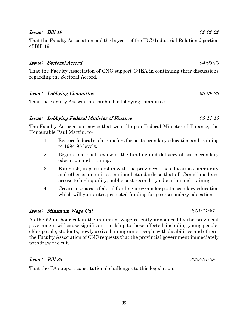#### **Issue: Bill 19** 92-02-22

That the Faculty Association end the boycott of the IRC (Industrial Relations) portion of Bill 19.

#### Issue: Sectoral Accord 94-03-30

That the Faculty Association of CNC support C-IEA in continuing their discussions regarding the Sectoral Accord.

#### Issue: Lobbying Committee 95-09-23

That the Faculty Association establish a lobbying committee.

#### Issue: Lobbying Federal Minister of Finance 95-11-15

The Faculty Association moves that we call upon Federal Minister of Finance, the Honourable Paul Martin, to:

- 1. Restore federal cash transfers for post-secondary education and training to 1994-95 levels.
- 2. Begin a national review of the funding and delivery of post-secondary education and training.
- 3. Establish, in partnership with the provinces, the education community and other communities, national standards so that all Canadians have access to high quality, public post-secondary education and training.
- 4. Create a separate federal funding program for post-secondary education which will guarantee protected funding for post-secondary education.

### Issue: Minimum Wage Cut 2001-11-27

As the \$2 an hour cut in the minimum wage recently announced by the provincial government will cause significant hardship to those affected, including young people, older people, students, newly arrived immigrants, people with disabilities and others, the Faculty Association of CNC requests that the provincial government immediately withdraw the cut.

### Issue: Bill 28 2002-01-28

That the FA support constitutional challenges to this legislation.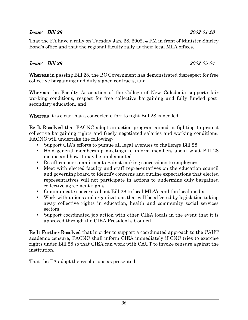#### Issue: Bill 28 2002-01-28

That the FA have a rally on Tuesday Jan. 28, 2002, 4 PM in front of Minister Shirley Bond's office and that the regional faculty rally at their local MLA offices.

#### Issue: Bill 28 2002-05-04

Whereas in passing Bill 28, the BC Government has demonstrated disrespect for free collective bargaining and duly signed contracts, and

Whereas the Faculty Association of the College of New Caledonia supports fair working conditions, respect for free collective bargaining and fully funded postsecondary education, and

Whereas it is clear that a concerted effort to fight Bill 28 is needed:

Be It Resolved that FACNC adopt an action program aimed at fighting to protect collective bargaining rights and freely negotiated salaries and working conditions. FACNC will undertake the following:

- Support CIA's efforts to pursue all legal avenues to challenge Bill 28
- Hold general membership meetings to inform members about what Bill 28 means and how it may be implemented
- Re-affirm our commitment against making concessions to employers
- Meet with elected faculty and staff representatives on the education council and governing board to identify concerns and outline expectations that elected representatives will not participate in actions to undermine duly bargained collective agreement rights
- Communicate concerns about Bill 28 to local MLA's and the local media
- Work with unions and organizations that will be affected by legislation taking away collective rights in education, health and community social services sectors
- Support coordinated job action with other CIEA locals in the event that it is approved through the CIEA President's Council

Be It Further Resolved that in order to support a coordinated approach to the CAUT academic censure, FACNC shall inform CIEA immediately if CNC tries to exercise rights under Bill 28 so that CIEA can work with CAUT to invoke censure against the institution.

That the FA adopt the resolutions as presented.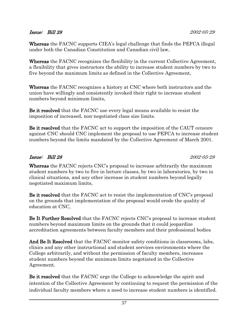#### Issue: Bill 28 2002-05-29

Whereas the FACNC supports CIEA's legal challenge that finds the PEFCA illegal under both the Canadian Constitution and Canadian civil law,

Whereas the FACNC recognizes the flexibility in the current Collective Agreement, a flexibility that gives instructors the ability to increase student numbers by two to five beyond the maximum limits as defined in the Collective Agreement,

Whereas the FACNC recognizes a history at CNC where both instructors and the union have willingly and consistently invoked their right to increase student numbers beyond minimum limits,

Be it resolved that the FACNC use every legal means available to resist the imposition of increased, non-negotiated class size limits.

Be it resolved that the FACNC act to support the imposition of the CAUT censure against CNC should CNC implement the proposal to use PEFCA to increase student numbers beyond the limits mandated by the Collective Agreement of March 2001.

### Issue: Bill 28 2002-05-29

Whereas the FACNC rejects CNC's proposal to increase arbitrarily the maximum student numbers by two to five in lecture classes, by two in laboratories, by two in clinical situations, and any other increase in student numbers beyond legally negotiated maximum limits,

Be it resolved that the FACNC act to resist the implementation of CNC's proposal on the grounds that implementation of the proposal would erode the quality of education at CNC,

Be It Further Resolved that the FACNC rejects CNC's proposal to increase student numbers beyond maximum limits on the grounds that it could jeopardize accreditation agreements between faculty members and their professional bodies

And Be It Resolved that the FACNC monitor safety conditions in classrooms, labs, clinics and any other instructional and student services environments where the College arbitrarily, and without the permission of faculty members, increases student numbers beyond the minimum limits negotiated in the Collective Agreement.

Be it resolved that the FACNC urge the College to acknowledge the spirit and intention of the Collective Agreement by continuing to request the permission of the individual faculty members where a need to increase student numbers is identified.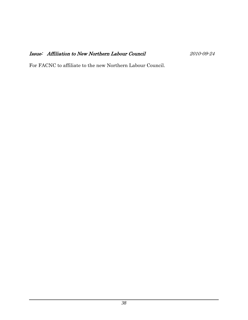### Issue: Affiliation to New Northern Labour Council 2010-09-24

For FACNC to affiliate to the new Northern Labour Council.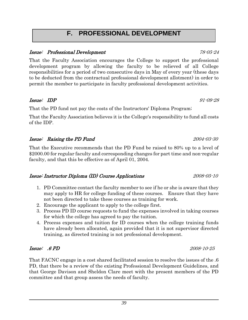## **F. PROFESSIONAL DEVELOPMENT**

#### Issue: Professional Development 78-05-24

That the Faculty Association encourages the College to support the professional development program by allowing the faculty to be relieved of all College responsibilities for a period of two consecutive days in May of every year (these days to be deducted from the contractual professional development allotment) in order to permit the member to participate in faculty professional development activities.

#### $Issue: IDP$  91-09-28

That the PD fund not pay the costs of the Instructors' Diploma Program;

That the Faculty Association believes it is the College's responsibility to fund all costs of the IDP.

#### Issue: Raising the PD Fund 2004-03-30

That the Executive recommends that the PD Fund be raised to 80% up to a level of \$2000.00 for regular faculty and corresponding changes for part time and non-regular faculty, and that this be effective as of April 01, 2004.

#### Issue: Instructor Diploma (ID) Course Applications 2008-05-10

- 1. PD Committee contact the faculty member to see if he or she is aware that they may apply to HR for college funding of these courses. Ensure that they have not been directed to take these courses as training for work.
- 2. Encourage the applicant to apply to the college first.
- 3. Process PD ID course requests to fund the expenses involved in taking courses for which the college has agreed to pay the tuition.
- 4. Process expenses and tuition for ID courses when the college training funds have already been allocated, again provided that it is not supervisor directed training, as directed training is not professional development.

### Issue: .6 PD 2008-10-25

That FACNC engage in a cost shared facilitated session to resolve the issues of the .6 PD, that there be a review of the existing Professional Development Guidelines, and that George Davison and Sheldon Clare meet with the present members of the PD committee and that group assess the needs of faculty.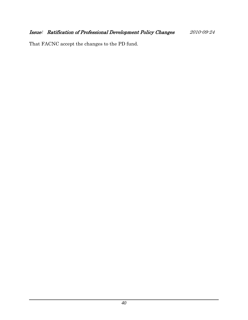That FACNC accept the changes to the PD fund.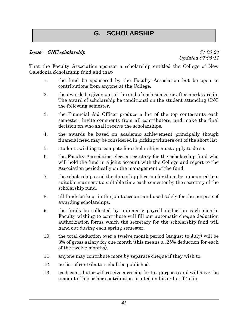## **G. SCHOLARSHIP**

#### Issue: CNC scholarship 74-03-24

Updated 97-05-11

That the Faculty Association sponsor a scholarship entitled the College of New Caledonia Scholarship fund and that:

- 1. the fund be sponsored by the Faculty Association but be open to contributions from anyone at the College.
- 2. the awards be given out at the end of each semester after marks are in. The award of scholarship be conditional on the student attending CNC the following semester.
- 3. the Financial Aid Officer produce a list of the top contestants each semester, invite comments from all contributors, and make the final decision on who shall receive the scholarships.
- 4. the awards be based on academic achievement principally though financial need may be considered in picking winners out of the short list.
- 5. students wishing to compete for scholarships must apply to do so.
- 6. the Faculty Association elect a secretary for the scholarship fund who will hold the fund in a joint account with the College and report to the Association periodically on the management of the fund.
- 7. the scholarships and the date of application for them be announced in a suitable manner at a suitable time each semester by the secretary of the scholarship fund.
- 8. all funds be kept in the joint account and used solely for the purpose of awarding scholarships.
- 9. the funds be collected by automatic payroll deduction each month. Faculty wishing to contribute will fill out automatic cheque deduction authorization forms which the secretary for the scholarship fund will hand out during each spring semester.
- 10. the total deduction over a twelve month period (August to July) will be 3% of gross salary for one month (this means a .25% deduction for each of the twelve months).
- 11. anyone may contribute more by separate cheque if they wish to.
- 12. no list of contributors shall be published.
- 13. each contributor will receive a receipt for tax purposes and will have the amount of his or her contribution printed on his or her T4 slip.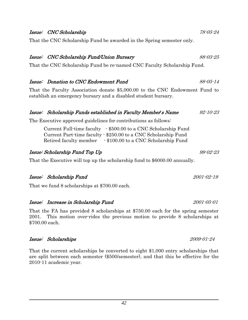#### Issue: CNC Scholarship 78-05-24

That the CNC Scholarship Fund be awarded in the Spring semester only.

#### Issue: CNC Scholarship Fund/Union Bursary 88-03-25

That the CNC Scholarship Fund be re-named CNC Faculty Scholarship Fund.

#### Issue: Donation to CNC Endowment Fund 88-05-14

That the Faculty Association donate \$5,000.00 to the CNC Endowment Fund to establish an emergency bursary and a disabled student bursary.

#### Issue: Scholarship Funds established in Faculty Member's Name 92-10-23

The Executive approved guidelines for contributions as follows:

Current Full-time faculty - \$500.00 to a CNC Scholarship Fund Current Part-time faculty - \$250.00 to a CNC Scholarship Fund Retired faculty member - \$100.00 to a CNC Scholarship Fund

#### Issue: Scholarship Fund Top Up 99-02-23

That the Executive will top up the scholarship fund to \$6000.00 annually.

#### Issue: Scholarship Fund 2001-02-19

That we fund 8 scholarships at \$700.00 each.

#### Issue: Increase in Scholarship Fund 2001-05-01

That the FA has provided 8 scholarships at \$750.00 each for the spring semester 2001. This motion over-rides the previous motion to provide 8 scholarships at \$700.00 each.

#### Issue: Scholarships 2009-01-24

That the current scholarships be converted to eight \$1,000 entry scholarships that are split between each semester (\$500/semester), and that this be effective for the 2010-11 academic year.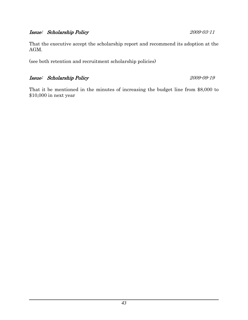#### Issue: Scholarship Policy 2009-03-11

That the executive accept the scholarship report and recommend its adoption at the AGM.

(see both retention and recruitment scholarship policies)

### Issue: Scholarship Policy 2009-09-19

That it be mentioned in the minutes of increasing the budget line from \$8,000 to \$10,000 in next year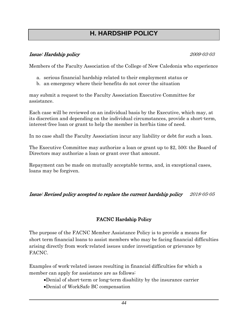## **H. HARDSHIP POLICY**

#### Issue: Hardship policy 2009-03-03

Members of the Faculty Association of the College of New Caledonia who experience

- a. serious financial hardship related to their employment status or
- b. an emergency where their benefits do not cover the situation

may submit a request to the Faculty Association Executive Committee for assistance.

Each case will be reviewed on an individual basis by the Executive, which may, at its discretion and depending on the individual circumstances, provide a short-term, interest-free loan or grant to help the member in her/his time of need.

In no case shall the Faculty Association incur any liability or debt for such a loan.

The Executive Committee may authorize a loan or grant up to \$2, 500; the Board of Directors may authorize a loan or grant over that amount.

Repayment can be made on mutually acceptable terms, and, in exceptional cases, loans may be forgiven.

### Issue: Revised policy accepted to replace the current hardship policy 2018-05-05

### FACNC Hardship Policy

The purpose of the FACNC Member Assistance Policy is to provide a means for short term financial loans to assist members who may be facing financial difficulties arising directly from work-related issues under investigation or grievance by FACNC.

Examples of work-related issues resulting in financial difficulties for which a member can apply for assistance are as follows:

- •Denial of short-term or long-term disability by the insurance carrier
- •Denial of WorkSafe BC compensation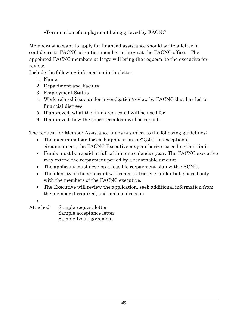•Termination of employment being grieved by FACNC

Members who want to apply for financial assistance should write a letter in confidence to FACNC attention member at large at the FACNC office. The appointed FACNC members at large will bring the requests to the executive for review.

Include the following information in the letter:

- 1. Name
- 2. Department and Faculty
- 3. Employment Status
- 4. Work-related issue under investigation/review by FACNC that has led to financial distress
- 5. If approved, what the funds requested will be used for
- 6. If approved, how the short-term loan will be repaid.

The request for Member Assistance funds is subject to the following guidelines:

- The maximum loan for each application is \$2,500. In exceptional circumstances, the FACNC Executive may authorize exceeding that limit.
- Funds must be repaid in full within one calendar year. The FACNC executive may extend the re-payment period by a reasonable amount.
- The applicant must develop a feasible re-payment plan with FACNC.
- The identity of the applicant will remain strictly confidential, shared only with the members of the FACNC executive.
- The Executive will review the application, seek additional information from the member if required, and make a decision.
- •

Attached: Sample request letter Sample acceptance letter Sample Loan agreement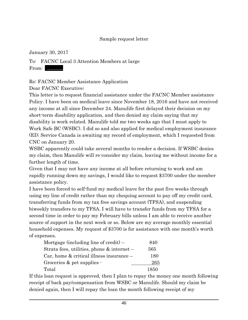#### Sample request letter

January 30, 2017

To: FACNC Local 3 Attention Members at large From: ……….

Re: FACNC Member Assistance Application

Dear FACNC Executive;

This letter is to request financial assistance under the FACNC Member assistance Policy. I have been on medical leave since November 18, 2016 and have not received any income at all since December 24. Manulife first delayed their decision on my short-term disability application, and then denied my claim saying that my disability is work related. Manulife told me two weeks ago that I must apply to Work Safe BC (WSBC). I did so and also applied for medical employment insurance (EI); Service Canada is awaiting my record of employment, which I requested from CNC on January 20.

WSBC apparently could take several months to render a decision. If WSBC denies my claim, then Manulife will re-consider my claim, leaving me without income for a further length of time.

Given that I may not have any income at all before returning to work and am rapidly running down my savings, I would like to request \$3700 under the member assistance policy.

I have been forced to self-fund my medical leave for the past five weeks through using my line of credit rather than my chequing account to pay off my credit card, transferring funds from my tax free savings account (TFSA), and suspending biweekly transfers to my TFSA. I will have to transfer funds from my TFSA for a second time in order to pay my February bills unless I am able to receive another source of support in the next week or so. Below are my average monthly essential household expenses. My request of \$3700 is for assistance with one month's worth of expenses.

| Mortgage (including line of credit) $-$       | 840  |
|-----------------------------------------------|------|
| Strata fees, utilities, phone $\&$ internet – | 565  |
| Car, home $\&$ critical illness insurance $-$ | 180  |
| Groceries $&$ pet supplies $\cdot$            | 265  |
| Total                                         | 1850 |

If this loan request is approved, then I plan to repay the money one month following receipt of back pay/compensation from WSBC or Manulife. Should my claim be denied again, then I will repay the loan the month following receipt of my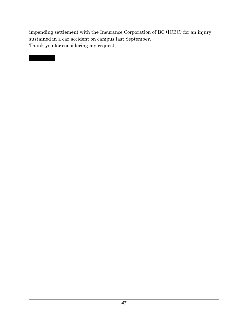impending settlement with the Insurance Corporation of BC (ICBC) for an injury sustained in a car accident on campus last September. Thank you for considering my request,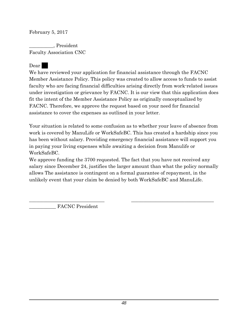February 5, 2017

\_\_\_\_\_\_\_\_\_\_, President Faculty Association CNC

Dear |

We have reviewed your application for financial assistance through the FACNC Member Assistance Policy. This policy was created to allow access to funds to assist faculty who are facing financial difficulties arising directly from work-related issues under investigation or grievance by FACNC. It is our view that this application does fit the intent of the Member Assistance Policy as originally conceptualized by FACNC. Therefore, we approve the request based on your need for financial assistance to cover the expenses as outlined in your letter.

Your situation is related to some confusion as to whether your leave of absence from work is covered by ManuLife or WorkSafeBC. This has created a hardship since you has been without salary. Providing emergency financial assistance will support you in paying your living expenses while awaiting a decision from Manulife or WorkSafeBC.

We approve funding the 3700 requested. The fact that you have not received any salary since December 24, justifies the larger amount than what the policy normally allows The assistance is contingent on a formal guarantee of repayment, in the unlikely event that your claim be denied by both WorkSafeBC and ManuLife.

\_\_\_\_\_\_\_\_\_\_\_\_\_\_\_\_\_\_\_\_\_\_\_\_\_\_\_\_\_\_\_ \_\_\_\_\_\_\_\_\_\_\_\_\_\_\_\_\_\_\_\_\_\_\_\_\_\_\_\_\_\_\_\_\_\_

FACNC President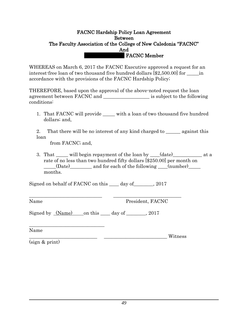#### FACNC Hardship Policy Loan Agreement Between The Faculty Association of the College of New Caledonia "FACNC" And **FACNC Member**

WHEREAS on March 6, 2017 the FACNC Executive approved a request for an interest-free loan of two thousand five hundred dollars [\$2,500.00] for <u>equilibration</u> accordance with the provisions of the FACNC Hardship Policy;

THEREFORE, based upon the approval of the above-noted request the loan agreement between FACNC and  $\qquad \qquad$  is subject to the following conditions:

1. That FACNC will provide with a loan of two thousand five hundred dollars; and,

2. That there will be no interest of any kind charged to <u>equal</u> against this loan

from FACNC; and,

3. That \_\_\_\_\_\_ will begin repayment of the loan by \_\_\_\_(date) \_\_\_\_\_\_\_\_\_\_\_\_\_ at a rate of no less than two hundred fifty dollars [\$250.00] per month on \_\_\_\_\_(Date)\_\_\_\_\_\_\_\_\_ and for each of the following \_\_\_\_(number)\_\_\_\_\_ months.

Signed on behalf of FACNC on this \_\_\_\_ day of\_\_\_\_\_\_\_\_, 2017

\_\_\_\_\_\_\_\_\_\_\_\_\_\_\_\_\_\_\_\_\_\_\_\_\_\_\_\_\_\_ \_\_\_\_\_\_\_\_\_\_\_\_\_\_\_\_\_\_\_\_\_\_\_\_\_\_\_\_

Name President, FACNC

Signed by  $(Name)$  on this  $\_\_day$  of  $\_\_$ , 2017

\_\_\_\_\_\_\_\_\_\_\_\_\_\_\_\_\_\_\_\_\_\_\_\_\_\_\_\_\_\_\_ Name \_\_\_\_\_\_\_\_\_\_\_\_\_\_\_\_\_\_\_\_\_\_\_\_\_\_\_\_ \_\_\_\_\_\_\_\_\_\_\_\_\_\_\_\_\_\_\_\_\_\_\_\_\_\_ Witness

(sign & print)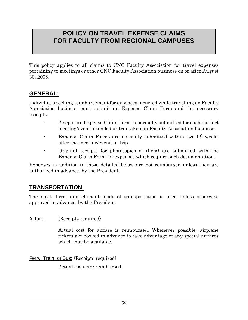## **POLICY ON TRAVEL EXPENSE CLAIMS FOR FACULTY FROM REGIONAL CAMPUSES**

This policy applies to all claims to CNC Faculty Association for travel expenses pertaining to meetings or other CNC Faculty Association business on or after August 30, 2008.

## **GENERAL:**

Individuals seeking reimbursement for expenses incurred while travelling on Faculty Association business must submit an Expense Claim Form and the necessary receipts.

- A separate Expense Claim Form is normally submitted for each distinct meeting/event attended or trip taken on Faculty Association business.
- Expense Claim Forms are normally submitted within two  $(2)$  weeks after the meeting/event, or trip.
- Original receipts (or photocopies of them) are submitted with the Expense Claim Form for expenses which require such documentation.

Expenses in addition to those detailed below are not reimbursed unless they are authorized in advance, by the President.

### **TRANSPORTATION:**

The most direct and efficient mode of transportation is used unless otherwise approved in advance, by the President.

Airfare: (Receipts required)

Actual cost for airfare is reimbursed. Whenever possible, airplane tickets are booked in advance to take advantage of any special airfares which may be available.

Ferry, Train, or Bus: (Receipts required)

Actual costs are reimbursed.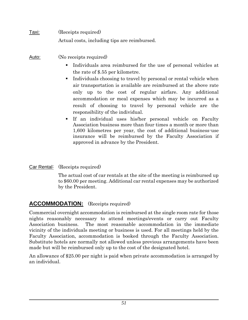| <u>Taxi:</u> | (Receipts required)                          |
|--------------|----------------------------------------------|
|              | Actual costs, including tips are reimbursed. |

Auto: (No receipts required)

- Individuals area reimbursed for the use of personal vehicles at the rate of \$.55 per kilometre.
- Individuals choosing to travel by personal or rental vehicle when air transportation is available are reimbursed at the above rate only up to the cost of regular airfare. Any additional accommodation or meal expenses which may be incurred as a result of choosing to travel by personal vehicle are the responsibility of the individual.
- If an individual uses his/her personal vehicle on Faculty Association business more than four times a month or more than 1,600 kilometres per year, the cost of additional business-use insurance will be reimbursed by the Faculty Association if approved in advance by the President.
- Car Rental: (Receipts required)

The actual cost of car rentals at the site of the meeting is reimbursed up to \$60.00 per meeting. Additional car rental expenses may be authorized by the President.

## **ACCOMMODATION:** (Receipts required)

Commercial overnight accommodation is reimbursed at the single room rate for those nights reasonably necessary to attend meetings/events or carry out Faculty Association business. The most reasonable accommodation in the immediate vicinity of the individuals meeting or business is used. For all meetings held by the Faculty Association, accommodation is booked through the Faculty Association. Substitute hotels are normally not allowed unless previous arrangements have been made but will be reimbursed only up to the cost of the designated hotel.

An allowance of \$25.00 per night is paid when private accommodation is arranged by an individual.